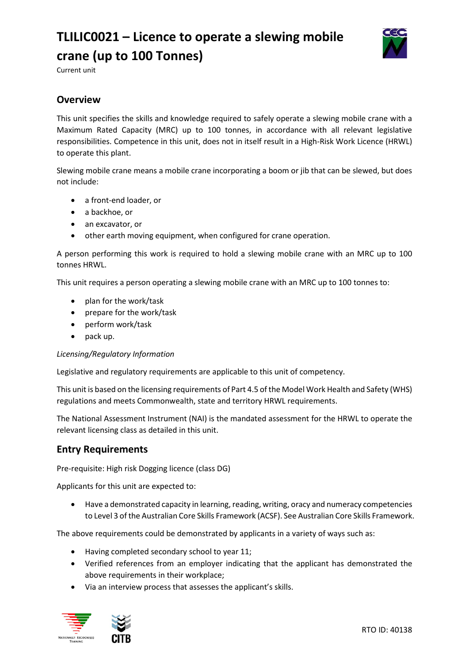# **TLILIC0021 – Licence to operate a slewing mobile crane (up to 100 Tonnes)**



Current unit

## **Overview**

This unit specifies the skills and knowledge required to safely operate a slewing mobile crane with a Maximum Rated Capacity (MRC) up to 100 tonnes, in accordance with all relevant legislative responsibilities. Competence in this unit, does not in itself result in a High-Risk Work Licence (HRWL) to operate this plant.

Slewing mobile crane means a mobile crane incorporating a boom or jib that can be slewed, but does not include:

- a front-end loader, or
- a backhoe, or
- an excavator, or
- other earth moving equipment, when configured for crane operation.

A person performing this work is required to hold a slewing mobile crane with an MRC up to 100 tonnes HRWL.

This unit requires a person operating a slewing mobile crane with an MRC up to 100 tonnes to:

- plan for the work/task
- prepare for the work/task
- perform work/task
- pack up.

#### *Licensing/Regulatory Information*

Legislative and regulatory requirements are applicable to this unit of competency.

This unit is based on the licensing requirements of Part 4.5 of the Model Work Health and Safety (WHS) regulations and meets Commonwealth, state and territory HRWL requirements.

The National Assessment Instrument (NAI) is the mandated assessment for the HRWL to operate the relevant licensing class as detailed in this unit.

### **Entry Requirements**

Pre-requisite: High risk Dogging licence (class DG)

Applicants for this unit are expected to:

• Have a demonstrated capacity in learning, reading, writing, oracy and numeracy competencies to Level 3 of the Australian Core Skills Framework (ACSF). See Australian Core Skills Framework.

The above requirements could be demonstrated by applicants in a variety of ways such as:

- Having completed secondary school to year 11;
- Verified references from an employer indicating that the applicant has demonstrated the above requirements in their workplace;
- Via an interview process that assesses the applicant's skills.